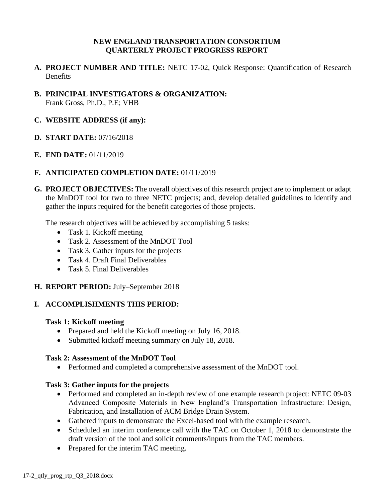## **NEW ENGLAND TRANSPORTATION CONSORTIUM QUARTERLY PROJECT PROGRESS REPORT**

- **A. PROJECT NUMBER AND TITLE:** NETC 17-02, Quick Response: Quantification of Research Benefits
- **B. PRINCIPAL INVESTIGATORS & ORGANIZATION:** Frank Gross, Ph.D., P.E; VHB

## **C. WEBSITE ADDRESS (if any):**

- **D. START DATE:** 07/16/2018
- **E. END DATE:** 01/11/2019

## **F. ANTICIPATED COMPLETION DATE:** 01/11/2019

**G. PROJECT OBJECTIVES:** The overall objectives of this research project are to implement or adapt the MnDOT tool for two to three NETC projects; and, develop detailed guidelines to identify and gather the inputs required for the benefit categories of those projects.

The research objectives will be achieved by accomplishing 5 tasks:

- Task 1. Kickoff meeting
- Task 2. Assessment of the MnDOT Tool
- Task 3. Gather inputs for the projects
- Task 4. Draft Final Deliverables
- Task 5. Final Deliverables

### **H. REPORT PERIOD:** July–September 2018

### **I. ACCOMPLISHMENTS THIS PERIOD:**

### **Task 1: Kickoff meeting**

- Prepared and held the Kickoff meeting on July 16, 2018.
- Submitted kickoff meeting summary on July 18, 2018.

### **Task 2: Assessment of the MnDOT Tool**

• Performed and completed a comprehensive assessment of the MnDOT tool.

### **Task 3: Gather inputs for the projects**

- Performed and completed an in-depth review of one example research project: NETC 09-03 Advanced Composite Materials in New England's Transportation Infrastructure: Design, Fabrication, and Installation of ACM Bridge Drain System.
- Gathered inputs to demonstrate the Excel-based tool with the example research.
- Scheduled an interim conference call with the TAC on October 1, 2018 to demonstrate the draft version of the tool and solicit comments/inputs from the TAC members.
- Prepared for the interim TAC meeting.